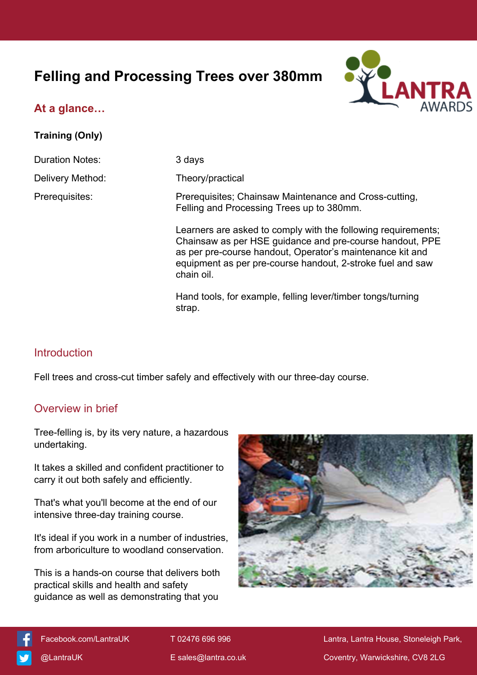# **Felling and Processing Trees over 380mm**



## **At a glance…**

#### **Training (Only)**

Duration Notes: 3 days

Delivery Method: Theory/practical

Prerequisites: Prerequisites; Chainsaw Maintenance and Cross-cutting, Felling and Processing Trees up to 380mm.

> Learners are asked to comply with the following requirements; Chainsaw as per HSE guidance and pre-course handout, PPE as per pre-course handout, Operator's maintenance kit and equipment as per pre-course handout, 2-stroke fuel and saw chain oil.

Hand tools, for example, felling lever/timber tongs/turning strap.

## Introduction

Fell trees and cross-cut timber safely and effectively with our three-day course.

### Overview in brief

Tree-felling is, by its very nature, a hazardous undertaking.

It takes a skilled and confident practitioner to carry it out both safely and efficiently.

That's what you'll become at the end of our intensive three-day training course.

It's ideal if you work in a number of industries, from arboriculture to woodland conservation.

This is a hands-on course that delivers both practical skills and health and safety guidance as well as demonstrating that you





[Facebook.com/LantraUK](https://www.facebook.com/LantraUK/) T 02476 696 996 Lantra, Lantra, Lantra House, Stoneleigh Park, [@LantraUK](http://www.twitter.com/lantrauk) E [sales@lantra.co.uk](mailto:sales@lantra.co.uk) Coventry, Warwickshire, CV8 2LG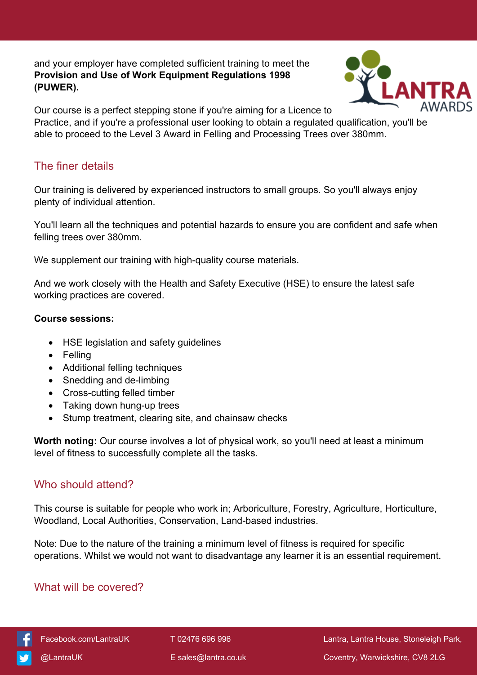and your employer have completed sufficient training to meet the **Provision and Use of Work Equipment Regulations 1998 (PUWER).**



Our course is a perfect stepping stone if you're aiming for a Licence to Practice, and if you're a professional user looking to obtain a regulated qualification, you'll be able to proceed to the Level 3 Award in Felling and Processing Trees over 380mm.

### The finer details

Our training is delivered by experienced instructors to small groups. So you'll always enjoy plenty of individual attention.

You'll learn all the techniques and potential hazards to ensure you are confident and safe when felling trees over 380mm.

We supplement our training with high-quality course materials.

And we work closely with the Health and Safety Executive (HSE) to ensure the latest safe working practices are covered.

#### **Course sessions:**

- HSE legislation and safety guidelines
- Felling
- Additional felling techniques
- Snedding and de-limbing
- Cross-cutting felled timber
- Taking down hung-up trees
- Stump treatment, clearing site, and chainsaw checks

**Worth noting:** Our course involves a lot of physical work, so you'll need at least a minimum level of fitness to successfully complete all the tasks.

### Who should attend?

This course is suitable for people who work in; Arboriculture, Forestry, Agriculture, Horticulture, Woodland, Local Authorities, Conservation, Land-based industries.

Note: Due to the nature of the training a minimum level of fitness is required for specific operations. Whilst we would not want to disadvantage any learner it is an essential requirement.

### What will be covered?



 [Facebook.com/LantraUK](https://www.facebook.com/LantraUK/) T 02476 696 996 Lantra, Lantra House, Stoneleigh Park, [@LantraUK](http://www.twitter.com/lantrauk) E [sales@lantra.co.uk](mailto:sales@lantra.co.uk) Coventry, Warwickshire, CV8 2LG